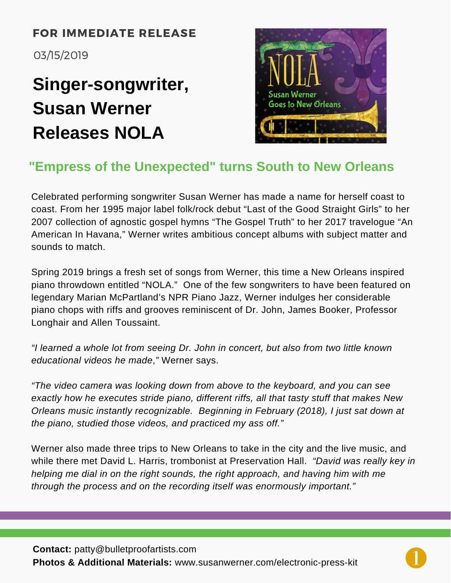#### FOR IMMEDIATE RELEASE

03/15/2019

# **Singer-songwriter, Susan Werner Releases NOLA**



## **"Empress of the Unexpected" turns South to New Orleans**

Celebrated performing songwriter Susan Werner has made a name for herself coast to coast. From her 1995 major label folk/rock debut "Last of the Good Straight Girls" to her 2007 collection of agnostic gospel hymns "The Gospel Truth" to her 2017 travelogue "An American In Havana," Werner writes ambitious concept albums with subject matter and sounds to match.

Spring 2019 brings a fresh set of songs from Werner, this time a New Orleans inspired piano throwdown entitled "NOLA." One of the few songwriters to have been featured on legendary Marian McPartland's NPR Piano Jazz, Werner indulges her considerable piano chops with riffs and grooves reminiscent of Dr. John, James Booker, Professor Longhair and Allen Toussaint.

*"I learned a whole lot from seeing Dr. John in concert, but also from two little known educational videos he made*,*"* Werner says.

*"The video camera was looking down from above to the keyboard, and you can see exactly how he executes stride piano, different riffs, all that tasty stuff that makes New Orleans music instantly recognizable. Beginning in February (2018), I just sat down at the piano, studied those videos, and practiced my ass off."*

Werner also made three trips to New Orleans to take in the city and the live music, and while there met David L. Harris, trombonist at Preservation Hall. *"David was really key in helping me dial in on the right sounds, the right approach, and having him with me through the process and on the recording itself was enormously important."*